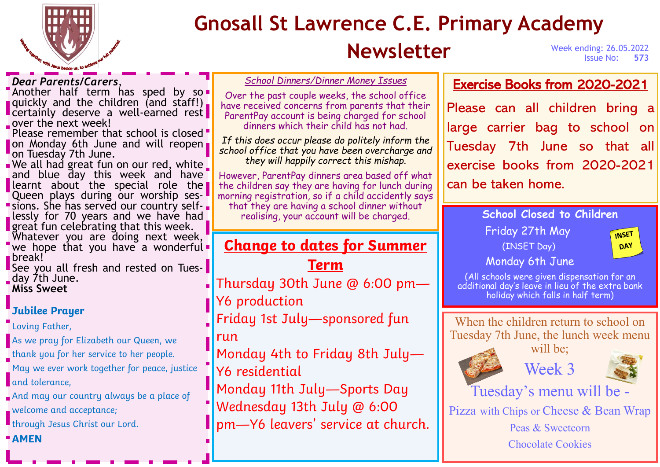

# **Gnosall St Lawrence C.E. Primary Academy**

# **Newsletter** Week ending: 26.05.2022

**Issue No:** 

#### *Dear Parents/Carers*,

**Another half term has sped by so**quickly and the children (and staff!). certainly deserve a well-earned rest over the next week!

Please remember that school is closed on Monday 6th June and will reopen on Tuesday 7th June.

We all had great fun on our red, white and blue day this week and have learnt about the special role the Queen plays during our worship sessions. She has served our country selflessly for 70 years and we have had **great fun celebrating that this week.** Whatever you are doing next week, "we hope that you have a wonderful. break!

**See you all fresh and rested on Tues**day 7th June. **Miss Sweet**

#### *Jubilee Prayer*

**Loving Father,** 

As we pray for Elizabeth our Queen, we thank you for her service to her people. May we ever work together for peace, justice and tolerance.

And may our country always be a place of

welcome and acceptance;

**I** through Jesus Christ our Lord.

*AMEN*

*School Dinners/Dinner Money Issues*

Over the past couple weeks, the school office have received concerns from parents that their ParentPay account is being charged for school dinners which their child has not had.

*If this does occur please do politely inform the school office that you have been overcharge and they will happily correct this mishap.* 

However, ParentPay dinners area based off what the children say they are having for lunch during morning registration, so if a child accidently says that they are having a school dinner without realising, your account will be charged.

### *Change to dates for Summer*

*Term*

Thursday 30th June @ 6:00 pm— Y6 production

Friday 1st July—sponsored fun run

- Monday 4th to Friday 8th July— Y6 residential
- Monday 11th July—Sports Day
- Wednesday 13th July @ 6:00 pm—Y6 leavers' service at church.

### Exercise Books from 2020-2021

Please can all children bring a large carrier bag to school on Tuesday 7th June so that all exercise books from 2020-2021 can be taken home.

> **School Closed to Children**  Friday 27th May (INSET Day)



#### Monday 6th June

(All schools were given dispensation for an additional day's leave in lieu of the extra bank holiday which falls in half term)

When the children return to school on Tuesday 7th June, the lunch week menu

will be:



Week 3



Tuesday's menu will be -

Pizza with Chips or Cheese & Bean Wrap

Peas & Sweetcorn

Chocolate Cookies